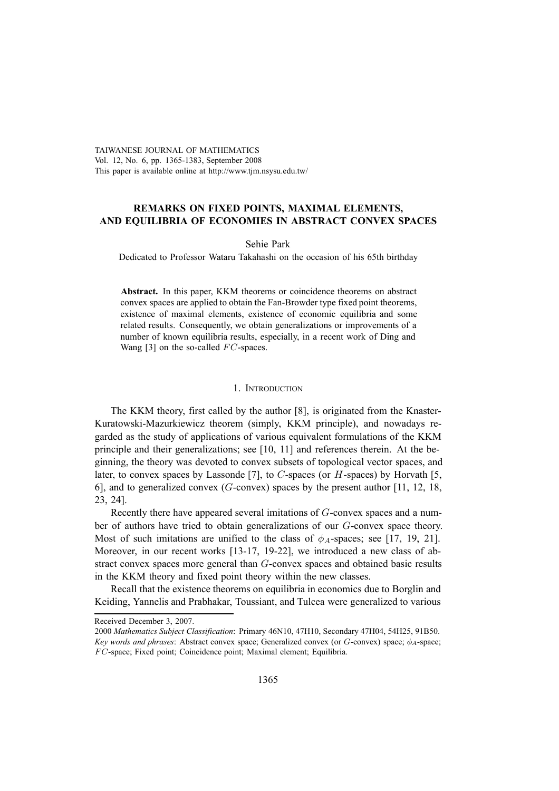TAIWANESE JOURNAL OF MATHEMATICS Vol. 12, No. 6, pp. 1365-1383, September 2008 This paper is available online at http://www.tjm.nsysu.edu.tw/

# **REMARKS ON FIXED POINTS, MAXIMAL ELEMENTS, AND EQUILIBRIA OF ECONOMIES IN ABSTRACT CONVEX SPACES**

## Sehie Park

Dedicated to Professor Wataru Takahashi on the occasion of his 65th birthday

**Abstract.** In this paper, KKM theorems or coincidence theorems on abstract convex spaces are applied to obtain the Fan-Browder type fixed point theorems, existence of maximal elements, existence of economic equilibria and some related results. Consequently, we obtain generalizations or improvements of a number of known equilibria results, especially, in a recent work of Ding and Wang [3] on the so-called  $FC$ -spaces.

## 1. INTRODUCTION

The KKM theory, first called by the author [8], is originated from the Knaster-Kuratowski-Mazurkiewicz theorem (simply, KKM principle), and nowadays regarded as the study of applications of various equivalent formulations of the KKM principle and their generalizations; see [10, 11] and references therein. At the beginning, the theory was devoted to convex subsets of topological vector spaces, and later, to convex spaces by Lassonde [7], to C-spaces (or H-spaces) by Horvath [5, 6], and to generalized convex  $(G\text{-convex})$  spaces by the present author [11, 12, 18, 23, 24].

Recently there have appeared several imitations of G-convex spaces and a number of authors have tried to obtain generalizations of our G-convex space theory. Most of such imitations are unified to the class of  $\phi_A$ -spaces; see [17, 19, 21]. Moreover, in our recent works [13-17, 19-22], we introduced a new class of abstract convex spaces more general than G-convex spaces and obtained basic results in the KKM theory and fixed point theory within the new classes.

Recall that the existence theorems on equilibria in economics due to Borglin and Keiding, Yannelis and Prabhakar, Toussiant, and Tulcea were generalized to various

Received December 3, 2007.

<sup>2000</sup> *Mathematics Subject Classification*: Primary 46N10, 47H10, Secondary 47H04, 54H25, 91B50. *Key words and phrases*: Abstract convex space; Generalized convex (or G-convex) space; φ*A*-space; F C-space; Fixed point; Coincidence point; Maximal element; Equilibria.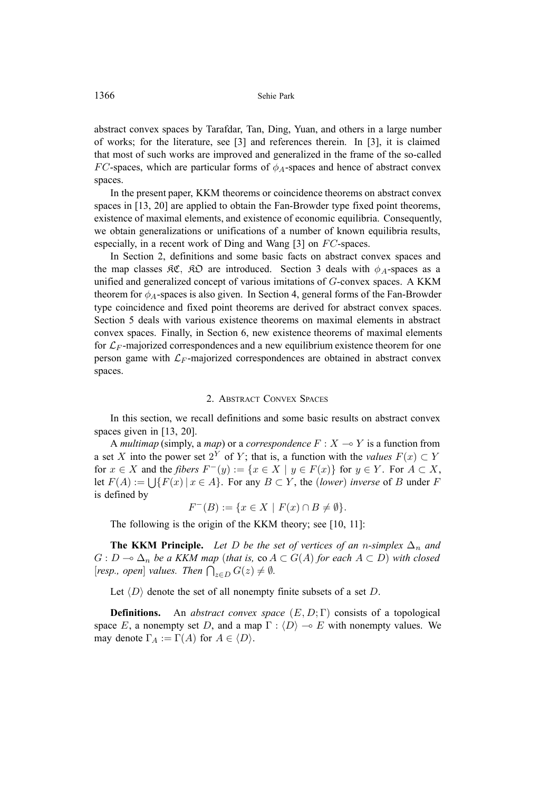abstract convex spaces by Tarafdar, Tan, Ding, Yuan, and others in a large number of works; for the literature, see [3] and references therein. In [3], it is claimed that most of such works are improved and generalized in the frame of the so-called  $FC$ -spaces, which are particular forms of  $\phi_A$ -spaces and hence of abstract convex spaces.

In the present paper, KKM theorems or coincidence theorems on abstract convex spaces in [13, 20] are applied to obtain the Fan-Browder type fixed point theorems, existence of maximal elements, and existence of economic equilibria. Consequently, we obtain generalizations or unifications of a number of known equilibria results, especially, in a recent work of Ding and Wang  $[3]$  on  $FC$ -spaces.

In Section 2, definitions and some basic facts on abstract convex spaces and the map classes  $\mathfrak{RC}$ ,  $\mathfrak{RD}$  are introduced. Section 3 deals with  $\phi_A$ -spaces as a unified and generalized concept of various imitations of G-convex spaces. A KKM theorem for  $\phi_A$ -spaces is also given. In Section 4, general forms of the Fan-Browder type coincidence and fixed point theorems are derived for abstract convex spaces. Section 5 deals with various existence theorems on maximal elements in abstract convex spaces. Finally, in Section 6, new existence theorems of maximal elements for  $\mathcal{L}_F$ -majorized correspondences and a new equilibrium existence theorem for one person game with  $\mathcal{L}_F$ -majorized correspondences are obtained in abstract convex spaces.

## 2. ABSTRACT CONVEX SPACES

In this section, we recall definitions and some basic results on abstract convex spaces given in [13, 20].

A *multimap* (simply, a *map*) or a *correspondence*  $F : X \rightarrow Y$  is a function from a set X into the power set  $2^Y$  of Y; that is, a function with the *values*  $F(x) \subset Y$ for  $x \in X$  and the *fibers*  $F^-(y) := \{x \in X \mid y \in F(x)\}\$ for  $y \in Y$ . For  $A \subset X$ , let  $F(A) := \bigcup \{F(x) | x \in A\}$ . For any  $B \subset Y$ , the *(lower) inverse* of B under F is defined by

$$
F^{-}(B) := \{ x \in X \mid F(x) \cap B \neq \emptyset \}.
$$

The following is the origin of the KKM theory; see [10, 11]:

**The KKM Principle.** Let D be the set of vertices of an *n*-simplex  $\Delta_n$  and  $G: D \longrightarrow \Delta_n$  *be a KKM map (that is, co*  $A \subset G(A)$  *for each*  $A \subset D$ ) *with closed* [*resp., open*] *values. Then*  $\bigcap_{z \in D} G(z) \neq \emptyset$ *.* 

Let  $\langle D \rangle$  denote the set of all nonempty finite subsets of a set D.

**Definitions.** An *abstract convex space* (E,D; Γ) consists of a topological space E, a nonempty set D, and a map  $\Gamma : \langle D \rangle \to E$  with nonempty values. We may denote  $\Gamma_A := \Gamma(A)$  for  $A \in \langle D \rangle$ .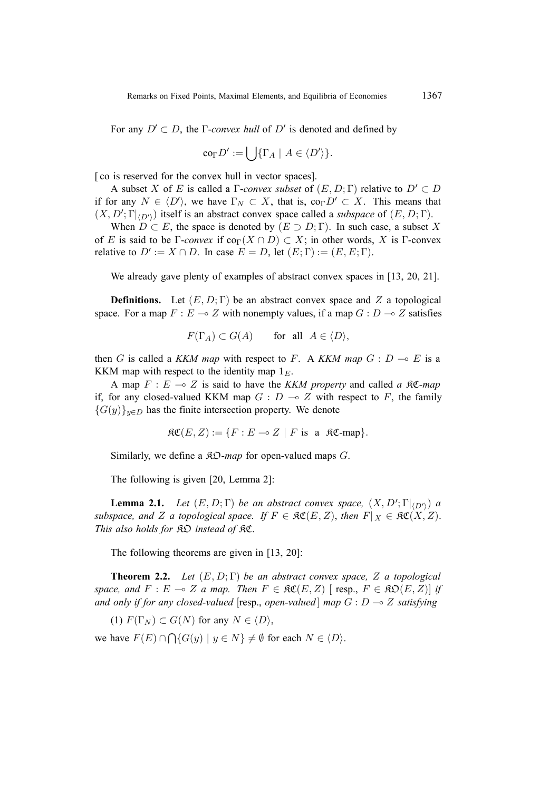For any  $D' \subset D$ , the *Γ-convex hull* of  $D'$  is denoted and defined by

$$
\mathrm{co}_{\Gamma}D':=\bigcup\{\Gamma_A\mid A\in\langle D'\rangle\}.
$$

[ co is reserved for the convex hull in vector spaces].

A subset X of E is called a  $\Gamma$ -*convex subset* of  $(E, D; \Gamma)$  relative to  $D' \subset D$ if for any  $N \in \langle D' \rangle$ , we have  $\Gamma_N \subset X$ , that is,  $\text{co}_{\Gamma} D' \subset X$ . This means that  $(X, D'; \Gamma |_{\langle D' \rangle})$  itself is an abstract convex space called a *subspace* of  $(E, D; \Gamma)$ .

When  $D \subset E$ , the space is denoted by  $(E \supset D; \Gamma)$ . In such case, a subset X of E is said to be  $\Gamma$ -*convex* if  $\text{co}_{\Gamma}(X \cap D) \subset X$ ; in other words, X is  $\Gamma$ -convex relative to  $D' := X \cap D$ . In case  $E = D$ , let  $(E; \Gamma) := (E, E; \Gamma)$ .

We already gave plenty of examples of abstract convex spaces in [13, 20, 21].

**Definitions.** Let  $(E, D; \Gamma)$  be an abstract convex space and Z a topological space. For a map  $F : E \to Z$  with nonempty values, if a map  $G : D \to Z$  satisfies

$$
F(\Gamma_A) \subset G(A) \qquad \text{for all} \ \ A \in \langle D \rangle,
$$

then G is called a *KKM map* with respect to F. A *KKM map*  $G : D \multimap E$  is a KKM map with respect to the identity map  $1<sub>E</sub>$ .

A map  $F : E \multimap Z$  is said to have the *KKM property* and called *a*  $\Re \mathcal{L}$ -map if, for any closed-valued KKM map  $G : D \multimap Z$  with respect to F, the family  ${G(y)}_{y\in D}$  has the finite intersection property. We denote

$$
\mathfrak{RC}(E,Z) := \{ F : E \multimap Z \mid F \text{ is a } \mathfrak{RC}\text{-map} \}.
$$

Similarly, we define a  $\mathcal{R}D$ -map for open-valued maps G.

The following is given [20, Lemma 2]:

**Lemma 2.1.** Let  $(E, D; \Gamma)$  be an abstract convex space,  $(X, D'; \Gamma |_{\langle D' \rangle})$  a *subspace, and Z a topological space.* If  $F \in \Re{\mathfrak{C}}(E, Z)$ , *then*  $F|_X \in \Re{\mathfrak{C}}(X, Z)$ . *This also holds for* KO *instead of* KC.

The following theorems are given in [13, 20]:

**Theorem 2.2.** *Let* (E,D; Γ) *be an abstract convex space,* Z *a topological space, and*  $F : E \multimap Z$  *a map. Then*  $F \in \mathfrak{RC}(E, Z)$  [ resp.,  $F \in \mathfrak{RO}(E, Z)$ ] *if and only if for any closed-valued* [resp., *open-valued*] *map*  $G : D \rightarrow Z$  *satisfying* 

(1)  $F(\Gamma_N) \subset G(N)$  for any  $N \in \langle D \rangle$ ,

we have  $F(E) \cap \bigcap \{G(y) \mid y \in N\} \neq \emptyset$  for each  $N \in \langle D \rangle$ .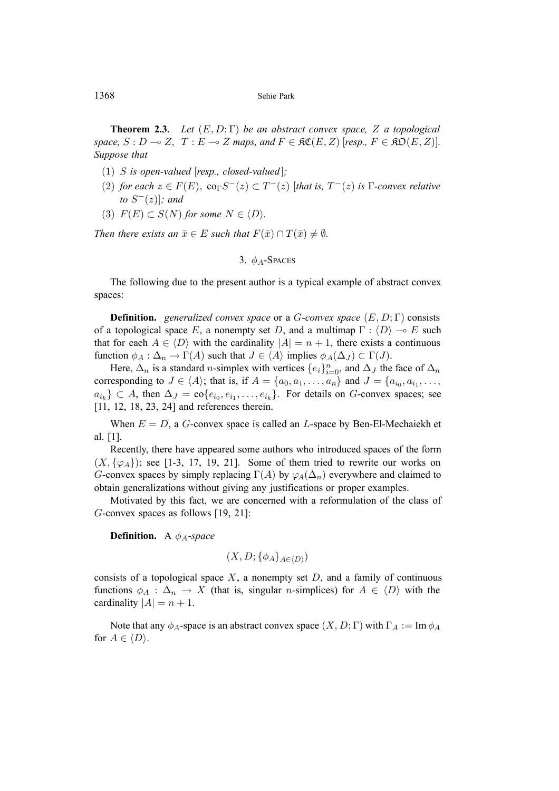**Theorem 2.3.** *Let* (E,D; Γ) *be an abstract convex space,* Z *a topological space,*  $S: D \to Z$ ,  $T: E \to Z$  *maps, and*  $F \in \mathcal{RC}(E, Z)$  [*resp.,*  $F \in \mathcal{RD}(E, Z)$ ]*. Suppose that*

- (1) S *is open-valued* [*resp., closed-valued* ]*;*
- (2) *for each*  $z \in F(E)$ ,  $\text{co}_{\Gamma}S^{-}(z) \subset T^{-}(z)$  [*that is,*  $T^{-}(z)$  *is*  $\Gamma$ *-convex relative to*  $S^{-}(z)$ *;* and
- (3)  $F(E) \subset S(N)$  *for some*  $N \in \langle D \rangle$ *.*

*Then there exists an*  $\bar{x} \in E$  *such that*  $F(\bar{x}) \cap T(\bar{x}) \neq \emptyset$ *.* 

3. 
$$
\phi_A
$$
-SPACES

The following due to the present author is a typical example of abstract convex spaces:

**Definition.** *generalized convex space* or a G-*convex space* (E,D; Γ) consists of a topological space E, a nonempty set D, and a multimap  $\Gamma : \langle D \rangle \to E$  such that for each  $A \in \langle D \rangle$  with the cardinality  $|A| = n + 1$ , there exists a continuous function  $\phi_A : \Delta_n \to \Gamma(A)$  such that  $J \in \langle A \rangle$  implies  $\phi_A(\Delta_J) \subset \Gamma(J)$ .

Here,  $\Delta_n$  is a standard *n*-simplex with vertices  $\{e_i\}_{i=0}^n$ , and  $\Delta_J$  the face of  $\Delta_n$ corresponding to  $J \in \langle A \rangle$ ; that is, if  $A = \{a_0, a_1, \ldots, a_n\}$  and  $J = \{a_{i_0}, a_{i_1}, \ldots, a_{i_n}\}$  $a_{i_k}$ } ⊂ A, then  $\Delta_J = \text{co}\{e_{i_0}, e_{i_1}, \ldots, e_{i_k}\}$ . For details on G-convex spaces; see [11, 12, 18, 23, 24] and references therein.

When  $E = D$ , a G-convex space is called an L-space by Ben-El-Mechaiekh et al. [1].

Recently, there have appeared some authors who introduced spaces of the form  $(X, {\varphi_A})$ ; see [1-3, 17, 19, 21]. Some of them tried to rewrite our works on G-convex spaces by simply replacing  $\Gamma(A)$  by  $\varphi_A(\Delta_n)$  everywhere and claimed to obtain generalizations without giving any justifications or proper examples.

Motivated by this fact, we are concerned with a reformulation of the class of G-convex spaces as follows [19, 21]:

**Definition.** A φ<sub>A</sub>-space

 $(X, D; {\phi_A}_{A \in (D)})$ 

consists of a topological space  $X$ , a nonempty set  $D$ , and a family of continuous functions  $\phi_A : \Delta_n \to X$  (that is, singular *n*-simplices) for  $A \in \langle D \rangle$  with the cardinality  $|A| = n + 1$ .

Note that any  $\phi_A$ -space is an abstract convex space  $(X, D; \Gamma)$  with  $\Gamma_A := \text{Im } \phi_A$ for  $A \in \langle D \rangle$ .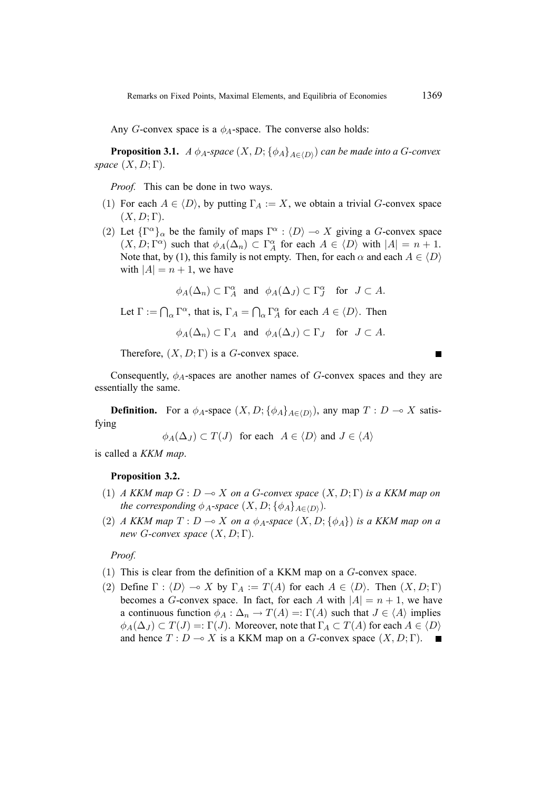Any G-convex space is a  $\phi_A$ -space. The converse also holds:

**Proposition 3.1.** *A*  $\phi$ <sub>*A</sub>*-*space* (*X*, *D*; { $\phi$ <sub>*A*</sub>}<sub>*A*∈(*D*)</sub>) *can be made into a G-convex*</sub> *space* (X, D; Γ)*.*

*Proof.* This can be done in two ways.

- (1) For each  $A \in \langle D \rangle$ , by putting  $\Gamma_A := X$ , we obtain a trivial G-convex space  $(X, D; \Gamma)$ .
- (2) Let  $\{\Gamma^{\alpha}\}_\alpha$  be the family of maps  $\Gamma^{\alpha}$  :  $\langle D \rangle \sim X$  giving a G-convex space  $(X, D; \Gamma^{\alpha})$  such that  $\phi_A(\Delta_n) \subset \Gamma^{\alpha}_A$  for each  $A \in \langle D \rangle$  with  $|A| = n + 1$ . Note that, by (1), this family is not empty. Then, for each  $\alpha$  and each  $A \in \langle D \rangle$ with  $|A| = n + 1$ , we have

$$
\phi_A(\Delta_n)\subset \Gamma_A^\alpha\ \ \text{and}\ \ \phi_A(\Delta_J)\subset \Gamma_J^\alpha\ \ \text{ for }\ \ J\subset A.
$$

Let  $\Gamma := \bigcap_{\alpha} \Gamma^{\alpha}$ , that is,  $\Gamma_A = \bigcap_{\alpha} \Gamma^{\alpha}_A$  for each  $A \in \langle D \rangle$ . Then

 $\phi_A(\Delta_n) \subset \Gamma_A$  and  $\phi_A(\Delta_i) \subset \Gamma_J$  for  $J \subset A$ .

Therefore,  $(X, D; \Gamma)$  is a G-convex space.

Consequently,  $\phi_A$ -spaces are another names of G-convex spaces and they are essentially the same.

**Definition.** For a  $\phi_A$ -space  $(X, D; {\phi_A}_{A \in (D)})$ , any map  $T : D \to X$  satisfying

$$
\phi_A(\Delta_J) \subset T(J)
$$
 for each  $A \in \langle D \rangle$  and  $J \in \langle A \rangle$ 

is called a *KKM map*.

## **Proposition 3.2.**

- $(1)$  *A KKM map*  $G: D \to X$  *on a G*-convex space  $(X, D; \Gamma)$  *is a KKM map on the corresponding*  $\phi_A$ -space  $(X, D; {\phi_A}_{A \in \langle D \rangle})$ .
- (2) *A KKM map*  $T : D \multimap X$  *on a*  $\phi_A$ -space  $(X, D; {\phi_A})$  *is a KKM map on a new G-convex space*  $(X, D; \Gamma)$ *.*

### *Proof.*

- (1) This is clear from the definition of a KKM map on a G-convex space.
- (2) Define  $\Gamma : \langle D \rangle \to X$  by  $\Gamma_A := T(A)$  for each  $A \in \langle D \rangle$ . Then  $(X, D; \Gamma)$ becomes a G-convex space. In fact, for each A with  $|A| = n + 1$ , we have a continuous function  $\phi_A : \Delta_n \to T(A) =: \Gamma(A)$  such that  $J \in \langle A \rangle$  implies  $\phi_A(\Delta_J) \subset T(J) =: \Gamma(J)$ . Moreover, note that  $\Gamma_A \subset T(A)$  for each  $A \in \langle D \rangle$ and hence  $T : D \to X$  is a KKM map on a G-convex space  $(X, D; \Gamma)$ .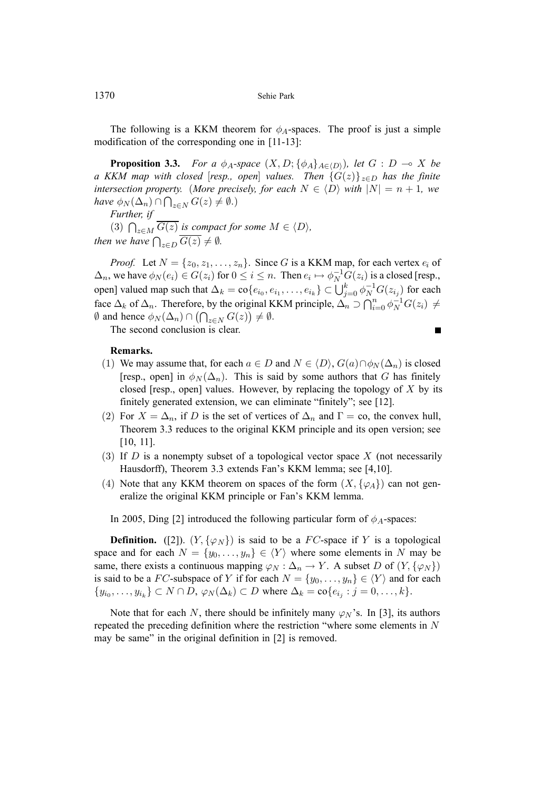The following is a KKM theorem for  $\phi_A$ -spaces. The proof is just a simple modification of the corresponding one in [11-13]:

**Proposition 3.3.** *For a*  $\phi_A$ -space  $(X, D; {\phi_A}_{A \in \langle D \rangle})$ *, let*  $G : D \multimap X$  *be a* KKM map with closed [resp., open] values. Then  $\{G(z)\}_{z\in D}$  has the finite *intersection property.* (*More precisely, for each*  $N \in \langle D \rangle$  *with*  $|N| = n + 1$ *, we have*  $\phi_N(\Delta_n) \cap \bigcap_{z \in N} G(z) \neq \emptyset$ .)

*Further, if*

(3)  $\bigcap_{z \in M} G(z)$  *is compact for some*  $M \in \langle D \rangle$ , *then we have*  $\bigcap_{z \in D} G(z) \neq \emptyset$ *.* 

*Proof.* Let  $N = \{z_0, z_1, \ldots, z_n\}$ . Since G is a KKM map, for each vertex  $e_i$  of  $\Delta_n$ , we have  $\phi_N(e_i) \in G(z_i)$  for  $0 \le i \le n$ . Then  $e_i \mapsto \phi_N^{-1} G(z_i)$  is a closed [resp., open] valued map such that  $\Delta_k = \text{co}\{e_{i_0}, e_{i_1}, \dots, e_{i_k}\} \subset \bigcup_{j=0}^k \phi_N^{-1} G(z_{i_j})$  for each face  $\Delta_k$  of  $\Delta_n$ . Therefore, by the original KKM principle,  $\Delta_n \supset \bigcap_{i=0}^n \phi_N^{-1}G(z_i) \neq$  $\emptyset$  and hence  $\phi_N(\Delta_n) \cap (\bigcap_{z \in N} G(z)) \neq \emptyset$ .

The second conclusion is clear.

**Remarks.**

(1) We may assume that, for each  $a \in D$  and  $N \in \langle D \rangle$ ,  $G(a) \cap \phi_N(\Delta_n)$  is closed [resp., open] in  $\phi_N(\Delta_n)$ . This is said by some authors that G has finitely closed [resp., open] values. However, by replacing the topology of  $X$  by its finitely generated extension, we can eliminate "finitely"; see [12].

 $\blacksquare$ 

- (2) For  $X = \Delta_n$ , if D is the set of vertices of  $\Delta_n$  and  $\Gamma = \infty$ , the convex hull, Theorem 3.3 reduces to the original KKM principle and its open version; see [10, 11].
- (3) If  $D$  is a nonempty subset of a topological vector space  $X$  (not necessarily Hausdorff), Theorem 3.3 extends Fan's KKM lemma; see [4,10].
- (4) Note that any KKM theorem on spaces of the form  $(X, \{\varphi_A\})$  can not generalize the original KKM principle or Fan's KKM lemma.

In 2005, Ding [2] introduced the following particular form of  $\phi_A$ -spaces:

**Definition.** ([2]).  $(Y, \{\varphi_N\})$  is said to be a FC-space if Y is a topological space and for each  $N = \{y_0, \ldots, y_n\} \in \langle Y \rangle$  where some elements in N may be same, there exists a continuous mapping  $\varphi_N : \Delta_n \to Y$ . A subset D of  $(Y, \{\varphi_N\})$ is said to be a FC-subspace of Y if for each  $N = \{y_0, \ldots, y_n\} \in \langle Y \rangle$  and for each  $\{y_{i_0}, \ldots, y_{i_k}\} \subset N \cap D$ ,  $\varphi_N(\Delta_k) \subset D$  where  $\Delta_k = \text{co}\{e_{i_j} : j = 0, \ldots, k\}.$ 

Note that for each N, there should be infinitely many  $\varphi_N$ 's. In [3], its authors repeated the preceding definition where the restriction "where some elements in N may be same" in the original definition in [2] is removed.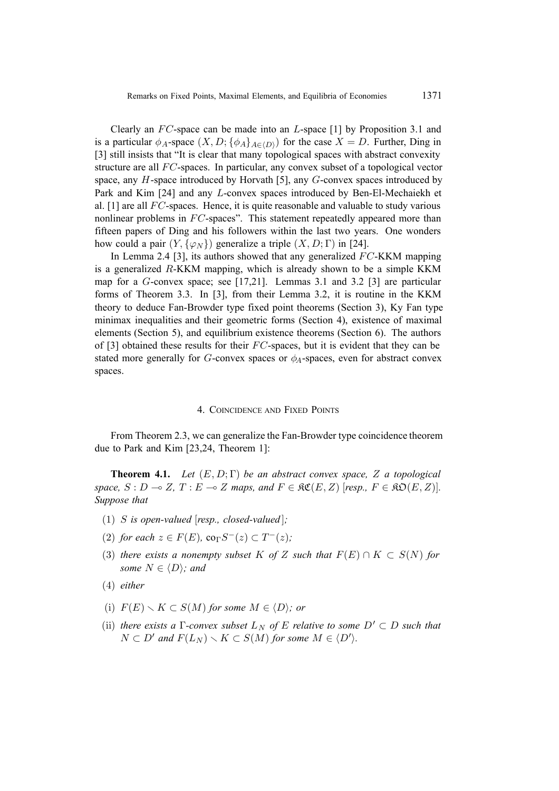Clearly an  $FC$ -space can be made into an L-space [1] by Proposition 3.1 and is a particular  $\phi_A$ -space  $(X, D; {\phi_A}_{A \in \langle D \rangle})$  for the case  $X = D$ . Further, Ding in [3] still insists that "It is clear that many topological spaces with abstract convexity structure are all  $FC$ -spaces. In particular, any convex subset of a topological vector space, any H-space introduced by Horvath [5], any G-convex spaces introduced by Park and Kim [24] and any L-convex spaces introduced by Ben-El-Mechaiekh et al.  $[1]$  are all  $FC$ -spaces. Hence, it is quite reasonable and valuable to study various nonlinear problems in  $FC$ -spaces". This statement repeatedly appeared more than fifteen papers of Ding and his followers within the last two years. One wonders how could a pair  $(Y, \{\varphi_N\})$  generalize a triple  $(X, D; \Gamma)$  in [24].

In Lemma 2.4 [3], its authors showed that any generalized  $FC-KKM$  mapping is a generalized R-KKM mapping, which is already shown to be a simple KKM map for a G-convex space; see [17,21]. Lemmas 3.1 and 3.2 [3] are particular forms of Theorem 3.3. In [3], from their Lemma 3.2, it is routine in the KKM theory to deduce Fan-Browder type fixed point theorems (Section 3), Ky Fan type minimax inequalities and their geometric forms (Section 4), existence of maximal elements (Section 5), and equilibrium existence theorems (Section 6). The authors of [3] obtained these results for their  $FC$ -spaces, but it is evident that they can be stated more generally for G-convex spaces or  $\phi_A$ -spaces, even for abstract convex spaces.

#### 4. COINCIDENCE AND FIXED POINTS

From Theorem 2.3, we can generalize the Fan-Browder type coincidence theorem due to Park and Kim [23,24, Theorem 1]:

**Theorem 4.1.** *Let* (E,D; Γ) *be an abstract convex space,* Z *a topological space,*  $S: D \to Z$ ,  $T: E \to Z$  *maps, and*  $F \in \mathcal{RC}(E, Z)$  [*resp.,*  $F \in \mathcal{RD}(E, Z)$ ]*. Suppose that*

- (1) S *is open-valued* [*resp., closed-valued* ]*;*
- (2) *for each*  $z \in F(E)$ ,  $\text{co}_{\Gamma}S^{-}(z) \subset T^{-}(z)$ ;
- (3) *there exists a nonempty subset* K *of* Z *such that*  $F(E) \cap K \subset S(N)$  *for some*  $N \in \langle D \rangle$ *;* and
- (4) *either*
- (i)  $F(E) \setminus K \subset S(M)$  *for some*  $M \in \langle D \rangle$ *; or*
- (ii) *there exists a*  $\Gamma$ -convex *subset*  $L_N$  *of*  $E$  *relative to some*  $D' \subset D$  *such that*  $N \subset D'$  and  $F(L_N) \setminus K \subset S(M)$  for some  $M \in \langle D' \rangle$ .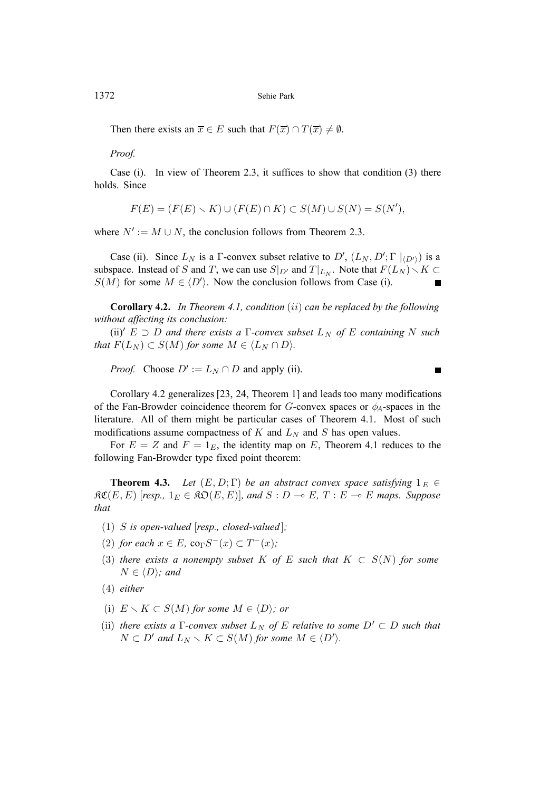Then there exists an  $\overline{x} \in E$  such that  $F(\overline{x}) \cap T(\overline{x}) \neq \emptyset$ .

*Proof.*

Case (i). In view of Theorem 2.3, it suffices to show that condition (3) there holds. Since

$$
F(E) = (F(E) \setminus K) \cup (F(E) \cap K) \subset S(M) \cup S(N) = S(N'),
$$

where  $N' := M \cup N$ , the conclusion follows from Theorem 2.3.

Case (ii). Since  $L_N$  is a  $\Gamma$ -convex subset relative to  $D'$ ,  $(L_N, D'; \Gamma \mid_{\langle D' \rangle})$  is a subspace. Instead of S and T, we can use  $S|_{D'}$  and  $T|_{L_N}$ . Note that  $F(L_N) \setminus K \subset$  $S(M)$  for some  $M \in \langle D' \rangle$ . Now the conclusion follows from Case (i).

**Corollary 4.2.** *In Theorem 4.1, condition* (ii) *can be replaced by the following without affecting its conclusion:*

 $(iii)'$   $E \supset D$  *and there exists a*  $\Gamma$ *-convex subset*  $L_N$  *of*  $E$  *containing*  $N$  *such that*  $F(L_N) \subset S(M)$  *for some*  $M \in \langle L_N \cap D \rangle$ *.* 

*Proof.* Choose  $D' := L_N \cap D$  and apply (ii).

Corollary 4.2 generalizes [23, 24, Theorem 1] and leads too many modifications of the Fan-Browder coincidence theorem for G-convex spaces or  $\phi_A$ -spaces in the literature. All of them might be particular cases of Theorem 4.1. Most of such modifications assume compactness of  $K$  and  $L<sub>N</sub>$  and  $S$  has open values.

For  $E = Z$  and  $F = 1_E$ , the identity map on E, Theorem 4.1 reduces to the following Fan-Browder type fixed point theorem:

**Theorem 4.3.** *Let*  $(E, D; \Gamma)$  *be an abstract convex space satisfying*  $1_E \in$  $\mathcal{RC}(E, E)$  [resp.,  $1_E \in \mathcal{RO}(E, E)$ ], and  $S : D \to E$ ,  $T : E \to E$  maps. Suppose *that*

- (1) S *is open-valued* [*resp., closed-valued* ]*;*
- (2) *for each*  $x \in E$ ,  $\operatorname{co}_{\Gamma} S^{-}(x) \subset T^{-}(x)$ ;
- (3) *there exists a nonempty subset* K of E *such that*  $K \subset S(N)$  *for some*  $N \in \langle D \rangle$ ; and
- (4) *either*
- (i)  $E \setminus K \subset S(M)$  *for some*  $M \in \langle D \rangle$ *; or*
- (ii) *there exists a*  $\Gamma$ -convex *subset*  $L_N$  *of*  $E$  *relative to some*  $D' \subset D$  *such that*  $N \subset D'$  and  $L_N \setminus K \subset S(M)$  for some  $M \in \langle D' \rangle$ .

 $\blacksquare$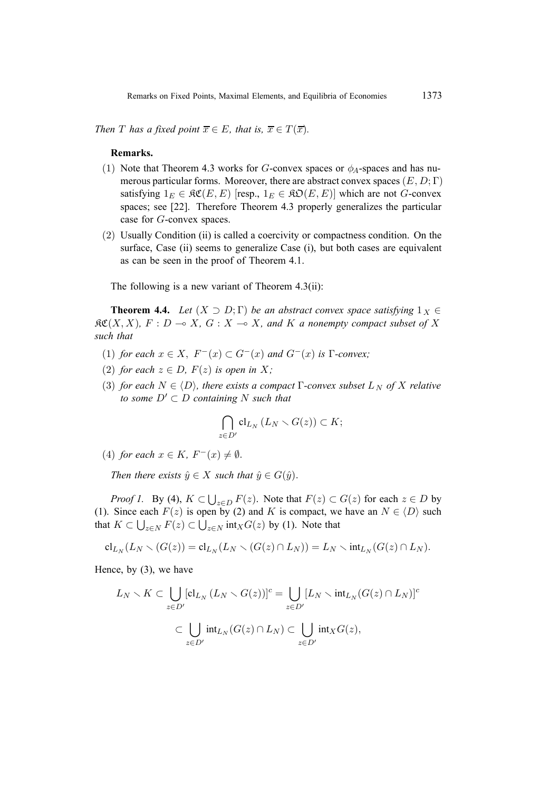*Then T has a fixed point*  $\overline{x} \in E$ *, that is,*  $\overline{x} \in T(\overline{x})$ *.* 

## **Remarks.**

- (1) Note that Theorem 4.3 works for G-convex spaces or  $\phi_A$ -spaces and has numerous particular forms. Moreover, there are abstract convex spaces  $(E, D; \Gamma)$ satisfying  $1_E \in \mathfrak{RC}(E, E)$  [resp.,  $1_E \in \mathfrak{RO}(E, E)$ ] which are not G-convex spaces; see [22]. Therefore Theorem 4.3 properly generalizes the particular case for G-convex spaces.
- (2) Usually Condition (ii) is called a coercivity or compactness condition. On the surface, Case (ii) seems to generalize Case (i), but both cases are equivalent as can be seen in the proof of Theorem 4.1.

The following is a new variant of Theorem 4.3(ii):

**Theorem 4.4.** *Let*  $(X \supset D; \Gamma)$  *be an abstract convex space satisfying*  $1_X \in$  $R\mathfrak{C}(X, X)$ ,  $F: D \to X$ ,  $G: X \to X$ , and  $K$  a nonempty compact subset of X *such that*

- (1) *for each*  $x \in X$ ,  $F^{-}(x) \subset G^{-}(x)$  *and*  $G^{-}(x)$  *is*  $\Gamma$ *-convex;*
- (2) *for each*  $z \in D$ *,*  $F(z)$  *is open in* X*;*
- (3) *for each*  $N \in \langle D \rangle$ *, there exists a compact*  $\Gamma$ *-convex subset*  $L_N$  *of*  $X$  *relative to some*  $D' \subset D$  *containing* N *such that*

$$
\bigcap_{z\in D'}\mathrm{cl}_{L_N}(L_N\smallsetminus G(z))\subset K;
$$

(4) *for each*  $x \in K$ ,  $F^{-}(x) \neq \emptyset$ .

*Then there exists*  $\hat{y} \in X$  *such that*  $\hat{y} \in G(\hat{y})$ *.* 

*Proof 1.* By (4),  $K \subset \bigcup_{z \in D} F(z)$ . Note that  $F(z) \subset G(z)$  for each  $z \in D$  by (1). Since each  $F(z)$  is open by (2) and K is compact, we have an  $N \in \langle D \rangle$  such that  $K \subset \bigcup_{z \in N} F(z) \subset \bigcup_{z \in N} \text{int}_X G(z)$  by (1). Note that

$$
\mathrm{cl}_{L_N}(L_N\setminus (G(z))=\mathrm{cl}_{L_N}(L_N\setminus (G(z)\cap L_N))=L_N\setminus \mathrm{int}_{L_N}(G(z)\cap L_N).
$$

Hence, by (3), we have

$$
L_N \setminus K \subset \bigcup_{z \in D'} [cl_{L_N} (L_N \setminus G(z))]^c = \bigcup_{z \in D'} [L_N \setminus int_{L_N} (G(z) \cap L_N)]^c
$$
  

$$
\subset \bigcup_{z \in D'} int_{L_N} (G(z) \cap L_N) \subset \bigcup_{z \in D'} int_X G(z),
$$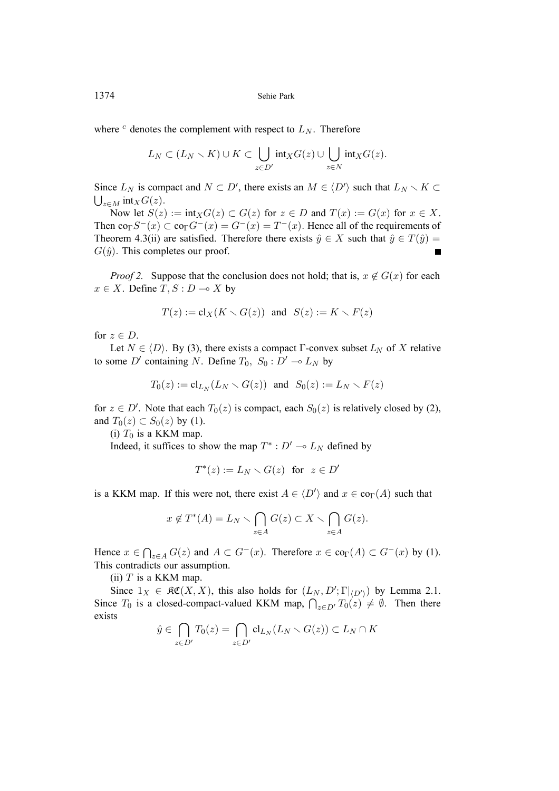where  $c$  denotes the complement with respect to  $L_N$ . Therefore

$$
L_N \subset (L_N \setminus K) \cup K \subset \bigcup_{z \in D'} \text{int}_X G(z) \cup \bigcup_{z \in N} \text{int}_X G(z).
$$

Since  $L_N$  is compact and  $N \subset D'$ , there exists an  $M \in \langle D' \rangle$  such that  $L_N \setminus K \subset$  $\bigcup_{z\in M} \text{int}_X G(z).$ 

Now let  $S(z) := \text{int}_X G(z) \subset G(z)$  for  $z \in D$  and  $T(x) := G(x)$  for  $x \in X$ . Then  $\text{co}_{\Gamma}S^{-}(x) \subset \text{co}_{\Gamma}G^{-}(x) = G^{-}(x) = T^{-}(x)$ . Hence all of the requirements of Theorem 4.3(ii) are satisfied. Therefore there exists  $\hat{y} \in X$  such that  $\hat{y} \in T(\hat{y}) =$  $G(\hat{y})$ . This completes our proof.  $\blacksquare$ 

*Proof 2.* Suppose that the conclusion does not hold; that is,  $x \notin G(x)$  for each  $x \in X$ . Define  $T, S: D \rightarrow X$  by

$$
T(z) := cl_X(K \setminus G(z)) \text{ and } S(z) := K \setminus F(z)
$$

for  $z \in D$ .

Let  $N \in \langle D \rangle$ . By (3), there exists a compact Γ-convex subset  $L_N$  of X relative to some D' containing N. Define  $T_0$ ,  $S_0: D' \to L_N$  by

$$
T_0(z) := cl_{L_N}(L_N \setminus G(z))
$$
 and  $S_0(z) := L_N \setminus F(z)$ 

for  $z \in D'$ . Note that each  $T_0(z)$  is compact, each  $S_0(z)$  is relatively closed by (2), and  $T_0(z) \subset S_0(z)$  by (1).

(i)  $T_0$  is a KKM map.

Indeed, it suffices to show the map  $T^* : D' \to L_N$  defined by

$$
T^*(z) := L_N \setminus G(z) \text{ for } z \in D'
$$

is a KKM map. If this were not, there exist  $A \in \langle D' \rangle$  and  $x \in \text{co}_{\Gamma}(A)$  such that

$$
x \notin T^*(A) = L_N \setminus \bigcap_{z \in A} G(z) \subset X \setminus \bigcap_{z \in A} G(z).
$$

Hence  $x \in \bigcap_{z \in A} G(z)$  and  $A \subset G^{-}(x)$ . Therefore  $x \in \text{co}_{\Gamma}(A) \subset G^{-}(x)$  by (1). This contradicts our assumption.

(ii)  $T$  is a KKM map.

Since  $1_X \in \Re{\mathfrak{C}}(X,X)$ , this also holds for  $(L_N, D'; \Gamma|_{\langle D' \rangle})$  by Lemma 2.1. Since  $T_0$  is a closed-compact-valued KKM map,  $\bigcap_{z \in D'} T_0(z) \neq \emptyset$ . Then there exists

$$
\hat{y} \in \bigcap_{z \in D'} T_0(z) = \bigcap_{z \in D'} cl_{L_N}(L_N \setminus G(z)) \subset L_N \cap K
$$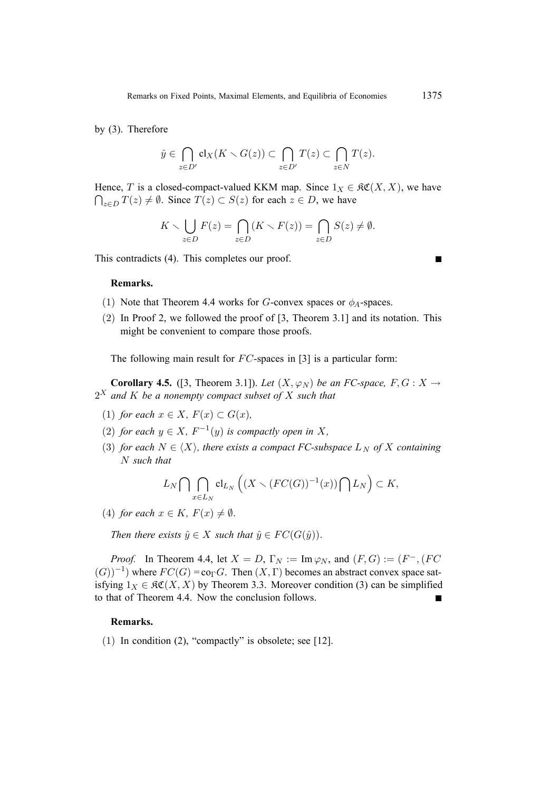by (3). Therefore

$$
\hat{y} \in \bigcap_{z \in D'} cl_X(K \setminus G(z)) \subset \bigcap_{z \in D'} T(z) \subset \bigcap_{z \in N} T(z).
$$

Hence, T is a closed-compact-valued KKM map. Since  $1_X \in \mathcal{RC}(X, X)$ , we have  $\bigcap_{z \in D} T(z) \neq \emptyset$ . Since  $T(z) \subset S(z)$  for each  $z \in D$ , we have

$$
K \setminus \bigcup_{z \in D} F(z) = \bigcap_{z \in D} (K \setminus F(z)) = \bigcap_{z \in D} S(z) \neq \emptyset.
$$

This contradicts (4). This completes our proof.

## **Remarks.**

- (1) Note that Theorem 4.4 works for G-convex spaces or  $\phi_A$ -spaces.
- (2) In Proof 2, we followed the proof of [3, Theorem 3.1] and its notation. This might be convenient to compare those proofs.

The following main result for  $FC$ -spaces in [3] is a particular form:

**Corollary 4.5.** ([3, Theorem 3.1]). *Let*  $(X, \varphi_N)$  *be an FC-space,*  $F, G: X \rightarrow$ 2<sup>X</sup> *and* K *be a nonempty compact subset of* X *such that*

- (1) *for each*  $x \in X$ *,*  $F(x) \subset G(x)$ *,*
- (2) *for each*  $y \in X$ ,  $F^{-1}(y)$  *is compactly open in* X,
- (3) *for each*  $N \in \langle X \rangle$ *, there exists a compact FC-subspace*  $L_N$  *of* X *containing* N *such that*

$$
L_N\bigcap\bigcap_{x\in L_N}\text{cl}_{L_N}\left((X\smallsetminus (FC(G))^{-1}(x))\bigcap L_N\right)\subset K,
$$

(4) *for each*  $x \in K$ ,  $F(x) \neq \emptyset$ .

*Then there exists*  $\hat{y} \in X$  *such that*  $\hat{y} \in FC(G(\hat{y}))$ *.* 

*Proof.* In Theorem 4.4, let  $X = D$ ,  $\Gamma_N := \text{Im } \varphi_N$ , and  $(F, G) := (F^-, (FC))$  $(G)$ <sup>-1</sup>) where  $FC(G)$  = co<sub>Γ</sub>G. Then  $(X, \Gamma)$  becomes an abstract convex space satisfying  $1_X \in \mathfrak{RC}(X, X)$  by Theorem 3.3. Moreover condition (3) can be simplified to that of Theorem 4.4. Now the conclusion follows.

## **Remarks.**

(1) In condition (2), "compactly" is obsolete; see [12].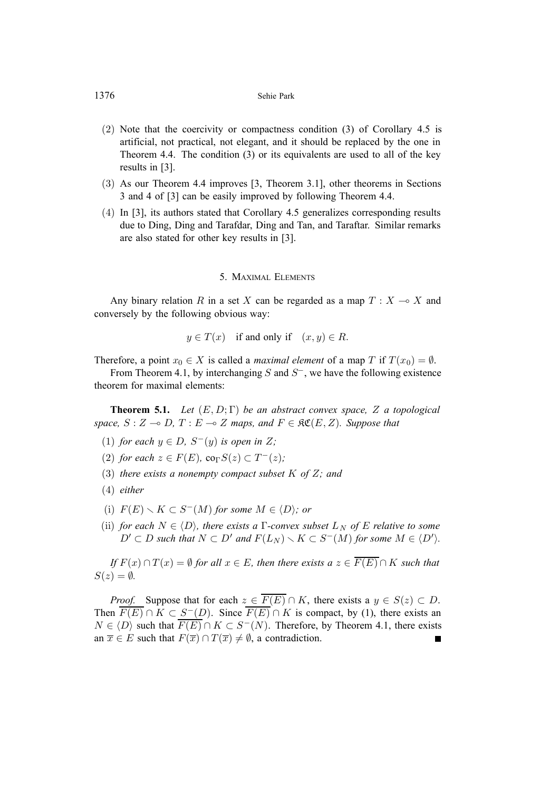- (2) Note that the coercivity or compactness condition (3) of Corollary 4.5 is artificial, not practical, not elegant, and it should be replaced by the one in Theorem 4.4. The condition (3) or its equivalents are used to all of the key results in [3].
- (3) As our Theorem 4.4 improves [3, Theorem 3.1], other theorems in Sections 3 and 4 of [3] can be easily improved by following Theorem 4.4.
- (4) In [3], its authors stated that Corollary 4.5 generalizes corresponding results due to Ding, Ding and Tarafdar, Ding and Tan, and Taraftar. Similar remarks are also stated for other key results in [3].

#### 5. MAXIMAL ELEMENTS

Any binary relation R in a set X can be regarded as a map  $T : X \rightarrow X$  and conversely by the following obvious way:

$$
y \in T(x)
$$
 if and only if  $(x, y) \in R$ .

Therefore, a point  $x_0 \in X$  is called a *maximal element* of a map T if  $T(x_0) = \emptyset$ .

From Theorem 4.1, by interchanging S and  $S^-$ , we have the following existence theorem for maximal elements:

**Theorem 5.1.** *Let* (E,D; Γ) *be an abstract convex space,* Z *a topological space,*  $S: Z \to D$ ,  $T: E \to Z$  *maps, and*  $F \in \mathcal{RC}(E, Z)$ *. Suppose that* 

- (1) *for each*  $y \in D$ ,  $S^-(y)$  *is open in*  $Z$ *;*
- (2) *for each*  $z \in F(E)$ ,  $\operatorname{co}_{\Gamma}S(z) \subset T^{-}(z)$ ;
- (3) *there exists a nonempty compact subset* K *of* Z*; and*
- (4) *either*
- (i)  $F(E) \setminus K \subset S^{-}(M)$  *for some*  $M \in \langle D \rangle$ *; or*
- (ii) *for each*  $N \in \langle D \rangle$ *, there exists a*  $\Gamma$ *-convex subset*  $L_N$  *of*  $E$  *relative to some*  $D' \subset D$  such that  $N \subset D'$  and  $F(L_N) \setminus K \subset S^-(M)$  for some  $M \in \langle D' \rangle$ .

*If*  $F(x) \cap T(x) = \emptyset$  *for all*  $x \in E$ *, then there exists a*  $z \in \overline{F(E)} \cap K$  *such that*  $S(z) = \emptyset$ .

*Proof.* Suppose that for each  $z \in \overline{F(E)} \cap K$ , there exists a  $y \in S(z) \subset D$ . Then  $\overline{F(E)} \cap K \subset S^{-}(D)$ . Since  $\overline{F(E)} \cap K$  is compact, by (1), there exists an  $N \in \langle D \rangle$  such that  $\overline{F(E)} \cap K \subset S^{-}(N)$ . Therefore, by Theorem 4.1, there exists an  $\overline{x} \in E$  such that  $F(\overline{x}) \cap T(\overline{x}) \neq \emptyset$ , a contradiction.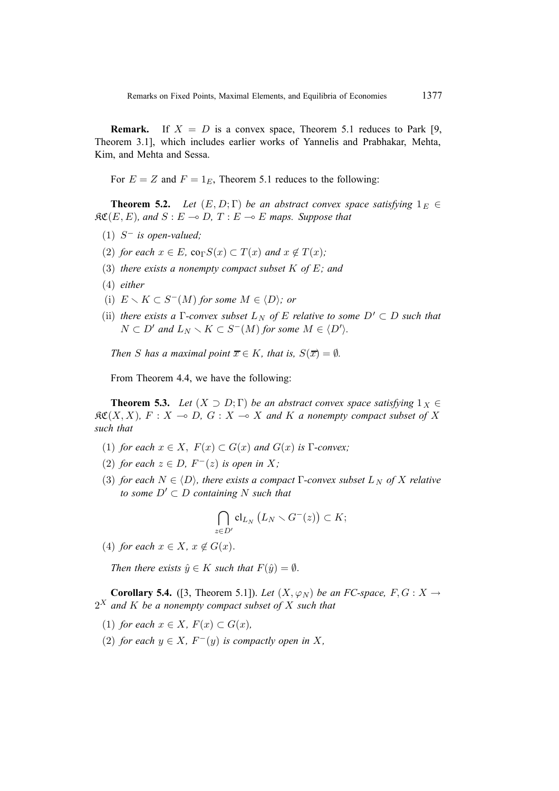**Remark.** If  $X = D$  is a convex space, Theorem 5.1 reduces to Park [9, Theorem 3.1], which includes earlier works of Yannelis and Prabhakar, Mehta, Kim, and Mehta and Sessa.

For  $E = Z$  and  $F = 1_E$ , Theorem 5.1 reduces to the following:

**Theorem 5.2.** *Let*  $(E, D; \Gamma)$  *be an abstract convex space satisfying*  $1_E \in$  $\mathfrak{RC}(E, E)$ *, and*  $S : E \to D$ *,*  $T : E \to E$  *maps. Suppose that* 

- (1) S<sup>−</sup> *is open-valued;*
- (2) *for each*  $x \in E$ ,  $\text{co}_{\Gamma}S(x) \subset T(x)$  *and*  $x \notin T(x)$ *;*
- (3) *there exists a nonempty compact subset* K *of* E*; and*
- (4) *either*
- (i)  $E \setminus K \subset S^{-1}(M)$  *for some*  $M \in \langle D \rangle$ *; or*
- (ii) *there exists a*  $\Gamma$ -convex *subset*  $L_N$  *of*  $E$  *relative to some*  $D' \subset D$  *such that*  $N \subset D'$  and  $L_N \setminus K \subset S^-(M)$  for some  $M \in \langle D' \rangle$ .

*Then S* has a maximal point  $\overline{x} \in K$ , that is,  $S(\overline{x}) = \emptyset$ .

From Theorem 4.4, we have the following:

**Theorem 5.3.** *Let*  $(X \supset D; \Gamma)$  *be an abstract convex space satisfying*  $1_X \in$  $R\mathfrak{C}(X,X)$ ,  $F: X \to D$ ,  $G: X \to X$  and  $K$  a nonempty compact subset of X *such that*

- (1) *for each*  $x \in X$ ,  $F(x) \subset G(x)$  *and*  $G(x)$  *is*  $\Gamma$ *-convex;*
- (2) *for each*  $z \in D$ ,  $F^{-}(z)$  *is open in* X;
- (3) *for each*  $N \in \langle D \rangle$ *, there exists a compact*  $\Gamma$ *-convex subset*  $L_N$  *of*  $X$  *relative to some*  $D' \subset D$  *containing* N *such that*

$$
\bigcap_{z\in D'}\text{cl}_{L_N}\left(L_N\smallsetminus G^-(z)\right)\subset K;
$$

(4) *for each*  $x \in X$ ,  $x \notin G(x)$ .

*Then there exists*  $\hat{y} \in K$  *such that*  $F(\hat{y}) = \emptyset$ .

**Corollary 5.4.** ([3, Theorem 5.1]). *Let*  $(X, \varphi_N)$  *be an FC-space,*  $F, G: X \rightarrow$ 2<sup>X</sup> *and* K *be a nonempty compact subset of* X *such that*

- (1) *for each*  $x \in X$ *,*  $F(x) \subset G(x)$ *,*
- (2) *for each*  $y \in X$ ,  $F^-(y)$  *is compactly open in* X,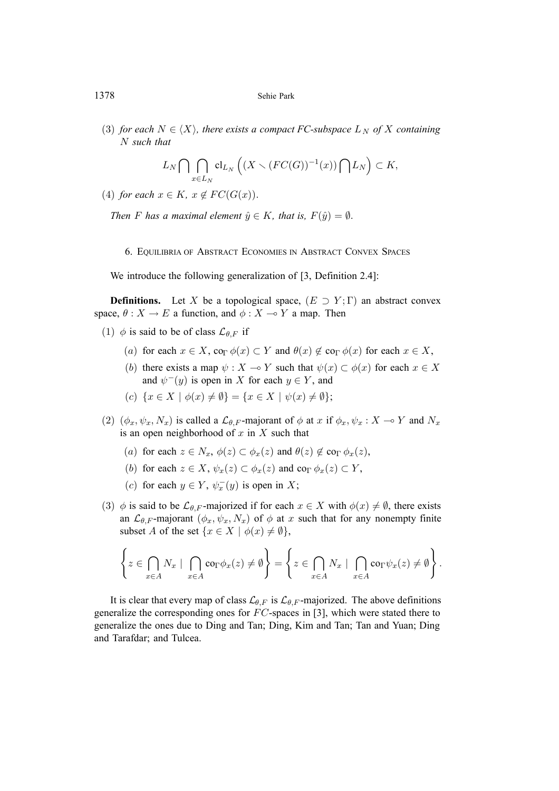(3) *for each*  $N \in \langle X \rangle$ *, there exists a compact FC-subspace*  $L_N$  *of*  $X$  *containing* N *such that*

$$
L_N\bigcap \bigcap_{x\in L_N} \mathsf{cl}_{L_N}\left((X\smallsetminus (FC(G))^{-1}(x))\bigcap L_N\right)\subset K,
$$

(4) *for each*  $x \in K$ ,  $x \notin FC(G(x))$ .

*Then F* has a maximal element  $\hat{y} \in K$ , that is,  $F(\hat{y}) = \emptyset$ .

6. EQUILIBRIA OF ABSTRACT ECONOMIES IN ABSTRACT CONVEX SPACES

We introduce the following generalization of [3, Definition 2.4]:

**Definitions.** Let X be a topological space,  $(E \supset Y; \Gamma)$  an abstract convex space,  $\theta: X \to E$  a function, and  $\phi: X \to Y$  a map. Then

- (1)  $\phi$  is said to be of class  $\mathcal{L}_{\theta,F}$  if
	- (a) for each  $x \in X$ ,  $\text{co}_{\Gamma} \phi(x) \subset Y$  and  $\theta(x) \notin \text{co}_{\Gamma} \phi(x)$  for each  $x \in X$ ,
	- (b) there exists a map  $\psi : X \to Y$  such that  $\psi(x) \subset \phi(x)$  for each  $x \in X$ and  $\psi^-(y)$  is open in X for each  $y \in Y$ , and
	- (c)  $\{x \in X \mid \phi(x) \neq \emptyset\} = \{x \in X \mid \psi(x) \neq \emptyset\};$
- (2)  $(\phi_x, \psi_x, N_x)$  is called a  $\mathcal{L}_{\theta,F}$ -majorant of  $\phi$  at x if  $\phi_x, \psi_x : X \to Y$  and  $N_x$ is an open neighborhood of  $x$  in  $X$  such that
	- (a) for each  $z \in N_x$ ,  $\phi(z) \subset \phi_x(z)$  and  $\theta(z) \notin \phi_x(z)$ ,
	- (b) for each  $z \in X$ ,  $\psi_x(z) \subset \phi_x(z)$  and  $\text{co}_{\Gamma} \phi_x(z) \subset Y$ ,
	- (c) for each  $y \in Y$ ,  $\psi_x^-(y)$  is open in X;
- (3)  $\phi$  is said to be  $\mathcal{L}_{\theta,F}$ -majorized if for each  $x \in X$  with  $\phi(x) \neq \emptyset$ , there exists an  $\mathcal{L}_{\theta,F}$ -majorant  $(\phi_x, \psi_x, N_x)$  of  $\phi$  at x such that for any nonempty finite subset A of the set  $\{x \in X \mid \phi(x) \neq \emptyset\},\$

$$
\left\{z\in\bigcap_{x\in A}N_x\mid\bigcap_{x\in A}co_{\Gamma}\phi_x(z)\neq\emptyset\right\}=\left\{z\in\bigcap_{x\in A}N_x\mid\bigcap_{x\in A}co_{\Gamma}\psi_x(z)\neq\emptyset\right\}.
$$

It is clear that every map of class  $\mathcal{L}_{\theta,F}$  is  $\mathcal{L}_{\theta,F}$ -majorized. The above definitions generalize the corresponding ones for  $FC$ -spaces in [3], which were stated there to generalize the ones due to Ding and Tan; Ding, Kim and Tan; Tan and Yuan; Ding and Tarafdar; and Tulcea.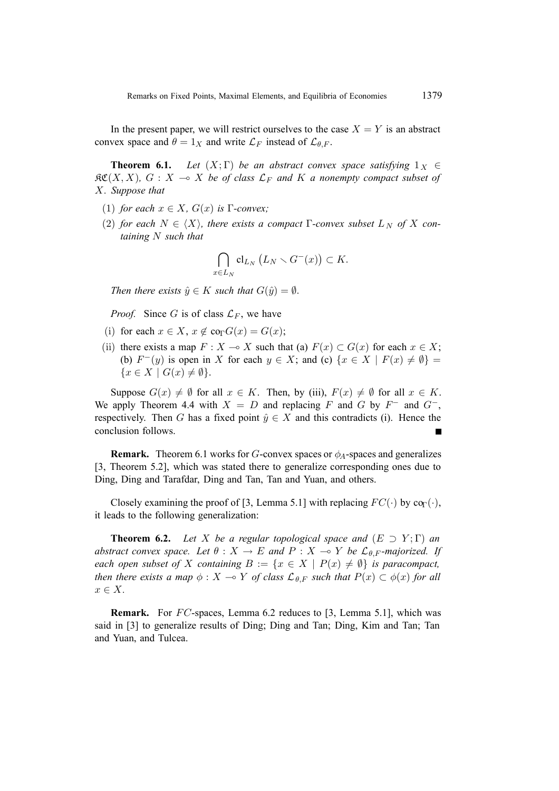In the present paper, we will restrict ourselves to the case  $X = Y$  is an abstract convex space and  $\theta = 1_X$  and write  $\mathcal{L}_F$  instead of  $\mathcal{L}_{\theta,F}$ .

**Theorem 6.1.** *Let*  $(X; \Gamma)$  *be an abstract convex space satisfying*  $1_X \in$  $R\mathfrak{C}(X,X)$ *,*  $G: X \to X$  *be of class*  $\mathcal{L}_F$  *and*  $K$  *a nonempty compact subset of* X*. Suppose that*

- (1) *for each*  $x \in X$ *,*  $G(x)$  *is*  $\Gamma$ *-convex;*
- (2) *for each*  $N \in \langle X \rangle$ , *there exists a compact*  $\Gamma$ -convex *subset*  $L_N$  *of*  $X$  con*taining* N *such that*

$$
\bigcap_{x\in L_N} \mathop{\mathrm{cl}}\nolimits_{L_N} \big( L_N \smallsetminus G^-(x) \big) \subset K.
$$

*Then there exists*  $\hat{y} \in K$  *such that*  $G(\hat{y}) = \emptyset$ .

*Proof.* Since G is of class  $\mathcal{L}_F$ , we have

- (i) for each  $x \in X$ ,  $x \notin \text{co}_{\Gamma}G(x) = G(x)$ ;
- (ii) there exists a map  $F : X \to X$  such that (a)  $F(x) \subset G(x)$  for each  $x \in X$ ; (b)  $F^-(y)$  is open in X for each  $y \in X$ ; and (c)  $\{x \in X \mid F(x) \neq \emptyset\}$  $\{x \in X \mid G(x) \neq \emptyset\}.$

Suppose  $G(x) \neq \emptyset$  for all  $x \in K$ . Then, by (iii),  $F(x) \neq \emptyset$  for all  $x \in K$ . We apply Theorem 4.4 with  $X = D$  and replacing F and G by F<sup>-</sup> and G<sup>-</sup>, respectively. Then G has a fixed point  $\hat{y} \in X$  and this contradicts (i). Hence the conclusion follows.

**Remark.** Theorem 6.1 works for G-convex spaces or  $\phi_A$ -spaces and generalizes [3, Theorem 5.2], which was stated there to generalize corresponding ones due to Ding, Ding and Tarafdar, Ding and Tan, Tan and Yuan, and others.

Closely examining the proof of [3, Lemma 5.1] with replacing  $FC(\cdot)$  by co<sub>Γ</sub>(·), it leads to the following generalization:

**Theorem 6.2.** *Let* X *be a regular topological space and*  $(E \supset Y; \Gamma)$  *an abstract convex space. Let*  $\theta : X \to E$  *and*  $P : X \to Y$  *be*  $\mathcal{L}_{\theta,F}$ *-majorized. If each open subset of* X *containing*  $B := \{x \in X \mid P(x) \neq \emptyset\}$  *is paracompact, then there exists a map*  $\phi$  :  $X \to Y$  *of class*  $\mathcal{L}_{\theta,F}$  *such that*  $P(x) \subset \phi(x)$  *for all*  $x \in X$ .

**Remark.** For FC-spaces, Lemma 6.2 reduces to [3, Lemma 5.1], which was said in [3] to generalize results of Ding; Ding and Tan; Ding, Kim and Tan; Tan and Yuan, and Tulcea.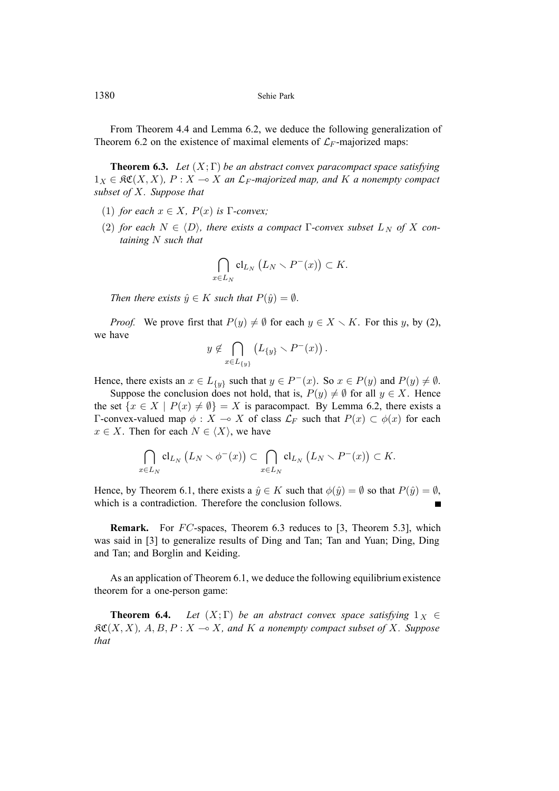From Theorem 4.4 and Lemma 6.2, we deduce the following generalization of Theorem 6.2 on the existence of maximal elements of  $\mathcal{L}_F$ -majorized maps:

**Theorem 6.3.** *Let* (X; Γ) *be an abstract convex paracompact space satisfying*  $1_X \in \mathfrak{RC}(X, X), P : X \multimap X$  an  $\mathcal{L}_F$ -majorized map, and K a nonempty compact *subset of* X*. Suppose that*

- (1) *for each*  $x \in X$ *,*  $P(x)$  *is*  $\Gamma$ *-convex;*
- (2) *for each*  $N \in \langle D \rangle$ , *there exists a compact* Γ-convex *subset*  $L_N$  *of* X con*taining* N *such that*

$$
\bigcap_{x\in L_N} \operatorname{cl}_{L_N}\big(L_N \setminus P^-(x)\big) \subset K.
$$

*Then there exists*  $\hat{y} \in K$  *such that*  $P(\hat{y}) = \emptyset$ .

*Proof.* We prove first that  $P(y) \neq \emptyset$  for each  $y \in X \setminus K$ . For this y, by (2), we have

$$
y \notin \bigcap_{x \in L_{\{y\}}} \left( L_{\{y\}} \smallsetminus P^-(x) \right).
$$

Hence, there exists an  $x \in L_{\{y\}}$  such that  $y \in P^-(x)$ . So  $x \in P(y)$  and  $P(y) \neq \emptyset$ .

Suppose the conclusion does not hold, that is,  $P(y) \neq \emptyset$  for all  $y \in X$ . Hence the set  $\{x \in X \mid P(x) \neq \emptyset\} = X$  is paracompact. By Lemma 6.2, there exists a Γ-convex-valued map  $φ : X → X$  of class  $\mathcal{L}_F$  such that  $P(x) ⊂ φ(x)$  for each  $x \in X$ . Then for each  $N \in \langle X \rangle$ , we have

$$
\bigcap_{x\in L_N}\text{cl}_{L_N}\left(L_N\smallsetminus\phi^-(x)\right)\subset\bigcap_{x\in L_N}\text{cl}_{L_N}\left(L_N\smallsetminus P^-(x)\right)\subset K.
$$

Hence, by Theorem 6.1, there exists a  $\hat{y} \in K$  such that  $\phi(\hat{y}) = \emptyset$  so that  $P(\hat{y}) = \emptyset$ , which is a contradiction. Therefore the conclusion follows.  $\blacksquare$ 

**Remark.** For FC-spaces, Theorem 6.3 reduces to [3, Theorem 5.3], which was said in [3] to generalize results of Ding and Tan; Tan and Yuan; Ding, Ding and Tan; and Borglin and Keiding.

As an application of Theorem 6.1, we deduce the following equilibrium existence theorem for a one-person game:

**Theorem 6.4.** *Let*  $(X; \Gamma)$  *be an abstract convex space satisfying*  $1_X \in$  $\mathfrak{K}(X,X)$ ,  $A, B, P: X \longrightarrow X$ , and K a nonempty compact subset of X. Suppose *that*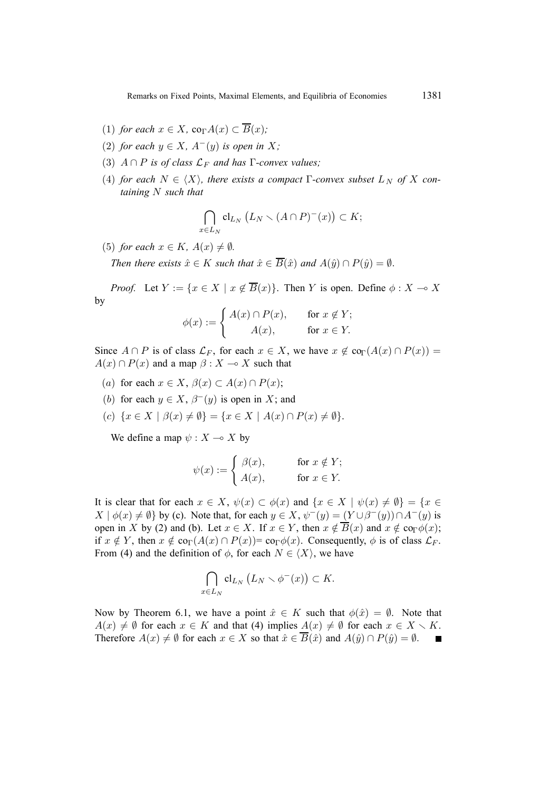- (1) *for each*  $x \in X$ ,  $\text{co}_{\Gamma}A(x) \subset \overline{B}(x)$ ;
- (2) *for each*  $y \in X$ ,  $A^{-}(y)$  *is open in* X;
- (3)  $A \cap P$  *is of class*  $\mathcal{L}_F$  *and has*  $\Gamma$ *-convex values;*
- (4) *for each*  $N \in \langle X \rangle$ *, there exists a compact* Γ-convex subset  $L_N$  of X con*taining* N *such that*

$$
\bigcap_{x\in L_N} \mathop{\mathrm{cl}}\nolimits_{L_N} \big( L_N \smallsetminus (A\cap P)^-(x) \big) \subset K;
$$

(5) *for each*  $x \in K$ *,*  $A(x) \neq \emptyset$ *.* 

*Then there exists*  $\hat{x} \in K$  *such that*  $\hat{x} \in \overline{B}(\hat{x})$  *and*  $A(\hat{y}) \cap P(\hat{y}) = \emptyset$ .

*Proof.* Let  $Y := \{x \in X \mid x \notin \overline{B}(x)\}\)$ . Then Y is open. Define  $\phi : X \to X$ by

$$
\phi(x) := \begin{cases} A(x) \cap P(x), & \text{for } x \notin Y; \\ A(x), & \text{for } x \in Y. \end{cases}
$$

Since  $A \cap P$  is of class  $\mathcal{L}_F$ , for each  $x \in X$ , we have  $x \notin \text{co}_{\Gamma}(A(x) \cap P(x)) =$  $A(x) \cap P(x)$  and a map  $\beta : X \longrightarrow X$  such that

- (a) for each  $x \in X$ ,  $\beta(x) \subset A(x) \cap P(x)$ ;
- (b) for each  $y \in X$ ,  $\beta^-(y)$  is open in X; and
- (c)  $\{x \in X \mid \beta(x) \neq \emptyset\} = \{x \in X \mid A(x) \cap P(x) \neq \emptyset\}.$

We define a map  $\psi : X \longrightarrow X$  by

$$
\psi(x) := \begin{cases} \beta(x), & \text{for } x \notin Y; \\ A(x), & \text{for } x \in Y. \end{cases}
$$

It is clear that for each  $x \in X$ ,  $\psi(x) \subset \phi(x)$  and  $\{x \in X \mid \psi(x) \neq \emptyset\} = \{x \in X\}$  $X \mid \phi(x) \neq \emptyset$  by (c). Note that, for each  $y \in X$ ,  $\psi^{-}(y)=(Y \cup \beta^{-}(y)) \cap A^{-}(y)$  is open in X by (2) and (b). Let  $x \in X$ . If  $x \in Y$ , then  $x \notin \overline{B}(x)$  and  $x \notin \text{co}_{\Gamma} \phi(x)$ ; if  $x \notin Y$ , then  $x \notin \text{co}_{\Gamma}(A(x) \cap P(x)) = \text{co}_{\Gamma}\phi(x)$ . Consequently,  $\phi$  is of class  $\mathcal{L}_F$ . From (4) and the definition of  $\phi$ , for each  $N \in \langle X \rangle$ , we have

$$
\bigcap_{x\in L_N}\operatorname{cl}_{L_N}\big(L_N\smallsetminus\phi^-(x)\big)\subset K.
$$

Now by Theorem 6.1, we have a point  $\hat{x} \in K$  such that  $\phi(\hat{x}) = \emptyset$ . Note that  $A(x) \neq \emptyset$  for each  $x \in K$  and that (4) implies  $A(x) \neq \emptyset$  for each  $x \in X \setminus K$ . Therefore  $A(x) \neq \emptyset$  for each  $x \in X$  so that  $\hat{x} \in \overline{B}(\hat{x})$  and  $A(\hat{y}) \cap P(\hat{y}) = \emptyset$ .  $\blacksquare$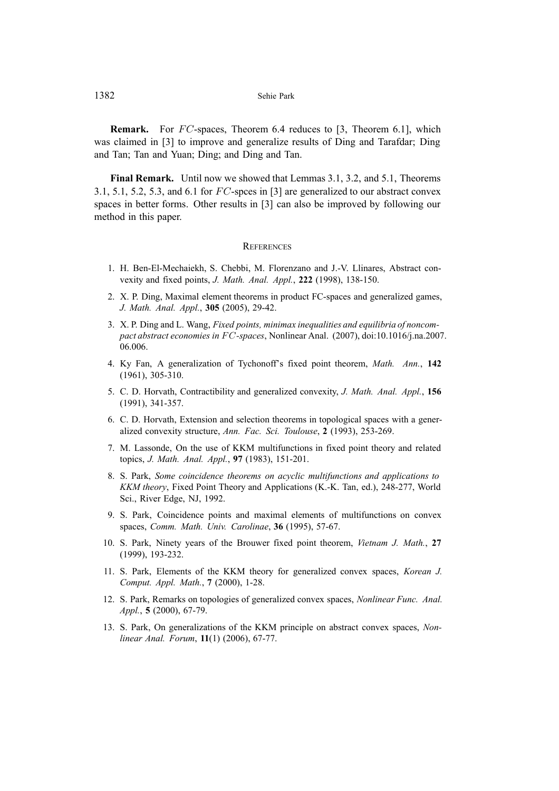**Remark.** For FC-spaces, Theorem 6.4 reduces to [3, Theorem 6.1], which was claimed in [3] to improve and generalize results of Ding and Tarafdar; Ding and Tan; Tan and Yuan; Ding; and Ding and Tan.

**Final Remark.** Until now we showed that Lemmas 3.1, 3.2, and 5.1, Theorems 3.1, 5.1, 5.2, 5.3, and 6.1 for  $FC$ -spces in [3] are generalized to our abstract convex spaces in better forms. Other results in [3] can also be improved by following our method in this paper.

### **REFERENCES**

- 1. H. Ben-El-Mechaiekh, S. Chebbi, M. Florenzano and J.-V. Llinares, Abstract convexity and fixed points, *J. Math. Anal. Appl.*, **222** (1998), 138-150.
- 2. X. P. Ding, Maximal element theorems in product FC-spaces and generalized games, *J. Math. Anal. Appl.*, **305** (2005), 29-42.
- 3. X. P. Ding and L. Wang, *Fixed points, minimax inequalities and equilibria of noncompact abstract economies in FC-spaces*, Nonlinear Anal. (2007), doi:10.1016/j.na.2007. 06.006.
- 4. Ky Fan, A generalization of Tychonoff's fixed point theorem, *Math. Ann.*, **142** (1961), 305-310.
- 5. C. D. Horvath, Contractibility and generalized convexity, *J. Math. Anal. Appl.*, **156** (1991), 341-357.
- 6. C. D. Horvath, Extension and selection theorems in topological spaces with a generalized convexity structure, *Ann. Fac. Sci. Toulouse*, **2** (1993), 253-269.
- 7. M. Lassonde, On the use of KKM multifunctions in fixed point theory and related topics, *J. Math. Anal. Appl.*, **97** (1983), 151-201.
- 8. S. Park, *Some coincidence theorems on acyclic multifunctions and applications to KKM theory*, Fixed Point Theory and Applications (K.-K. Tan, ed.), 248-277, World Sci., River Edge, NJ, 1992.
- 9. S. Park, Coincidence points and maximal elements of multifunctions on convex spaces, *Comm. Math. Univ. Carolinae*, **36** (1995), 57-67.
- 10. S. Park, Ninety years of the Brouwer fixed point theorem, *Vietnam J. Math.*, **27** (1999), 193-232.
- 11. S. Park, Elements of the KKM theory for generalized convex spaces, *Korean J. Comput. Appl. Math.*, **7** (2000), 1-28.
- 12. S. Park, Remarks on topologies of generalized convex spaces, *Nonlinear Func. Anal. Appl.*, **5** (2000), 67-79.
- 13. S. Park, On generalizations of the KKM principle on abstract convex spaces, *Nonlinear Anal. Forum*, **11**(1) (2006), 67-77.